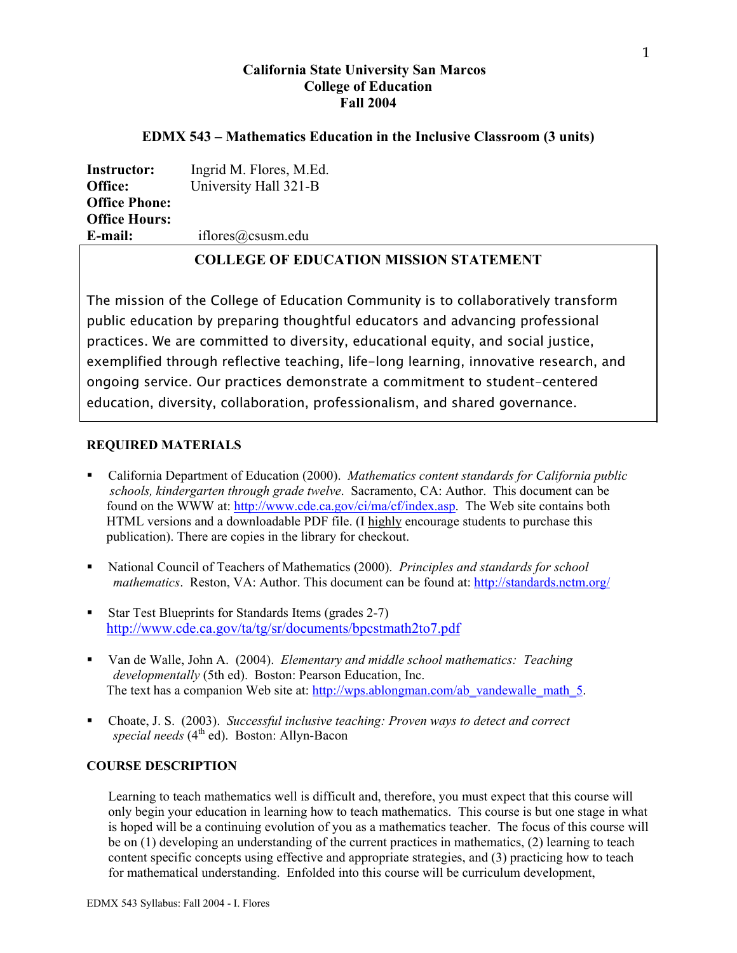# **California State University San Marcos College of Education Fall 2004**

### **EDMX 543 – Mathematics Education in the Inclusive Classroom (3 units)**

**Instructor:** Ingrid M. Flores, M.Ed. **Office:** University Hall 321-B **Office Phone: Office Hours: E-mail:** iflores@csusm.edu

# **COLLEGE OF EDUCATION MISSION STATEMENT**

The mission of the College of Education Community is to collaboratively transform public education by preparing thoughtful educators and advancing professional practices. We are committed to diversity, educational equity, and social justice, exemplified through reflective teaching, life-long learning, innovative research, and ongoing service. Our practices demonstrate a commitment to student-centered education, diversity, collaboration, professionalism, and shared governance.

### **REQUIRED MATERIALS**

- California Department of Education (2000). *Mathematics content standards for California public schools, kindergarten through grade twelve*. Sacramento, CA: Author. This document can be found on the WWW at: http://www.cde.ca.gov/ci/ma/cf/index.asp. The Web site contains both HTML versions and a downloadable PDF file. (I highly encourage students to purchase this publication). There are copies in the library for checkout.
- National Council of Teachers of Mathematics (2000). *Principles and standards for school mathematics*. Reston, VA: Author. This document can be found at: http://standards.nctm.org/
- Star Test Blueprints for Standards Items (grades 2-7) http://www.cde.ca.gov/ta/tg/sr/documents/bpcstmath2to7.pdf
- Van de Walle, John A. (2004). *Elementary and middle school mathematics: Teaching developmentally* (5th ed). Boston: Pearson Education, Inc. The text has a companion Web site at: http://wps.ablongman.com/ab\_vandewalle\_math\_5.
- Choate, J. S. (2003). *Successful inclusive teaching: Proven ways to detect and correct special needs* (4th ed). Boston: Allyn-Bacon

### **COURSE DESCRIPTION**

Learning to teach mathematics well is difficult and, therefore, you must expect that this course will only begin your education in learning how to teach mathematics. This course is but one stage in what is hoped will be a continuing evolution of you as a mathematics teacher. The focus of this course will be on (1) developing an understanding of the current practices in mathematics, (2) learning to teach content specific concepts using effective and appropriate strategies, and (3) practicing how to teach for mathematical understanding. Enfolded into this course will be curriculum development,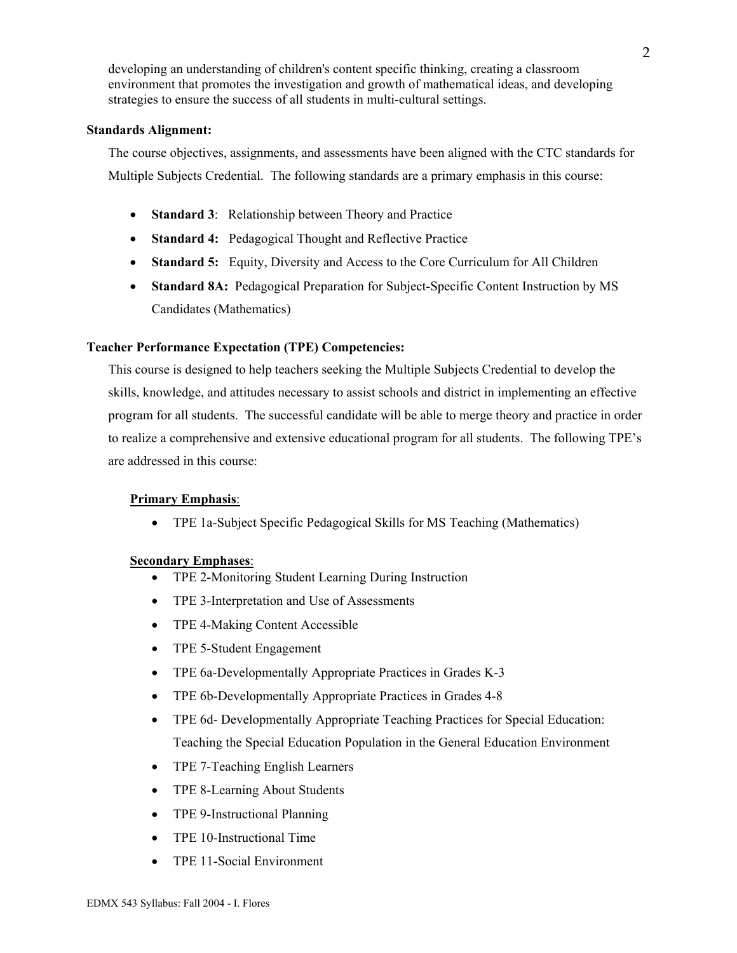developing an understanding of children's content specific thinking, creating a classroom environment that promotes the investigation and growth of mathematical ideas, and developing strategies to ensure the success of all students in multi-cultural settings.

#### **Standards Alignment:**

The course objectives, assignments, and assessments have been aligned with the CTC standards for Multiple Subjects Credential. The following standards are a primary emphasis in this course:

- **Standard 3**: Relationship between Theory and Practice
- **Standard 4:** Pedagogical Thought and Reflective Practice
- **Standard 5:** Equity, Diversity and Access to the Core Curriculum for All Children
- **Standard 8A:** Pedagogical Preparation for Subject-Specific Content Instruction by MS Candidates (Mathematics)

### **Teacher Performance Expectation (TPE) Competencies:**

This course is designed to help teachers seeking the Multiple Subjects Credential to develop the skills, knowledge, and attitudes necessary to assist schools and district in implementing an effective program for all students. The successful candidate will be able to merge theory and practice in order to realize a comprehensive and extensive educational program for all students. The following TPE's are addressed in this course:

### **Primary Emphasis**:

• TPE 1a-Subject Specific Pedagogical Skills for MS Teaching (Mathematics)

### **Secondary Emphases**:

- TPE 2-Monitoring Student Learning During Instruction
- TPE 3-Interpretation and Use of Assessments
- TPE 4-Making Content Accessible
- TPE 5-Student Engagement
- TPE 6a-Developmentally Appropriate Practices in Grades K-3
- TPE 6b-Developmentally Appropriate Practices in Grades 4-8
- TPE 6d- Developmentally Appropriate Teaching Practices for Special Education: Teaching the Special Education Population in the General Education Environment
- TPE 7-Teaching English Learners
- TPE 8-Learning About Students
- TPE 9-Instructional Planning
- TPE 10-Instructional Time
- TPE 11-Social Environment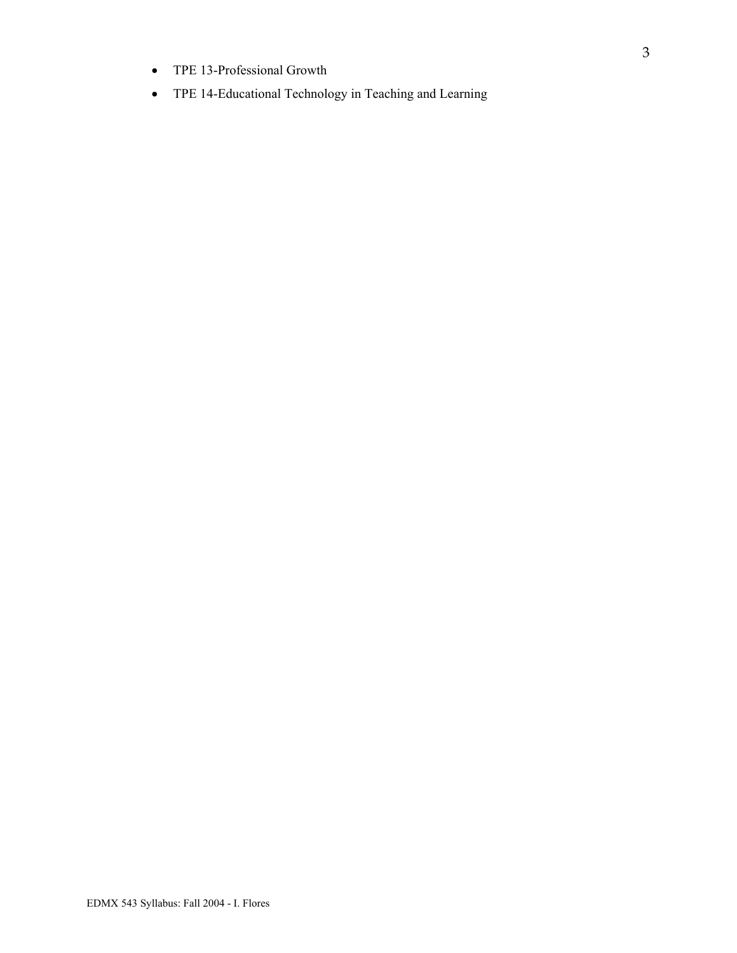- TPE 13-Professional Growth
- TPE 14-Educational Technology in Teaching and Learning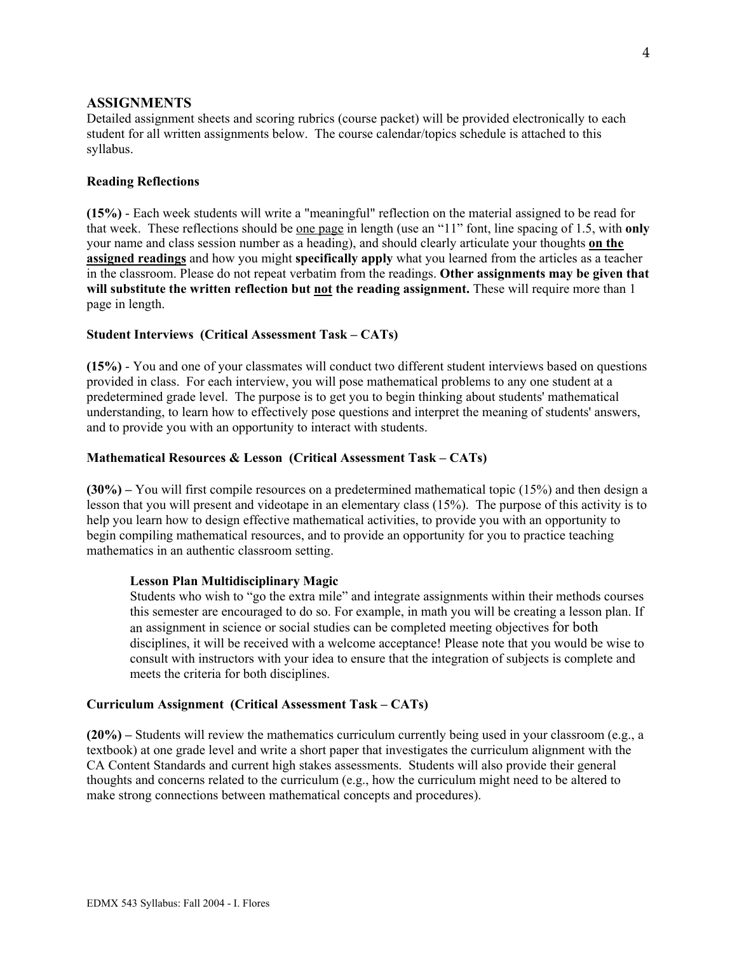#### **ASSIGNMENTS**

Detailed assignment sheets and scoring rubrics (course packet) will be provided electronically to each student for all written assignments below. The course calendar/topics schedule is attached to this syllabus.

#### **Reading Reflections**

**(15%)** - Each week students will write a "meaningful" reflection on the material assigned to be read for that week. These reflections should be one page in length (use an "11" font, line spacing of 1.5, with **only**  your name and class session number as a heading), and should clearly articulate your thoughts **on the assigned readings** and how you might **specifically apply** what you learned from the articles as a teacher in the classroom. Please do not repeat verbatim from the readings. **Other assignments may be given that will substitute the written reflection but not the reading assignment.** These will require more than 1 page in length.

#### **Student Interviews (Critical Assessment Task – CATs)**

**(15%)** - You and one of your classmates will conduct two different student interviews based on questions provided in class. For each interview, you will pose mathematical problems to any one student at a predetermined grade level. The purpose is to get you to begin thinking about students' mathematical understanding, to learn how to effectively pose questions and interpret the meaning of students' answers, and to provide you with an opportunity to interact with students.

#### **Mathematical Resources & Lesson (Critical Assessment Task – CATs)**

**(30%) –** You will first compile resources on a predetermined mathematical topic (15%) and then design a lesson that you will present and videotape in an elementary class (15%). The purpose of this activity is to help you learn how to design effective mathematical activities, to provide you with an opportunity to begin compiling mathematical resources, and to provide an opportunity for you to practice teaching mathematics in an authentic classroom setting.

#### **Lesson Plan Multidisciplinary Magic**

Students who wish to "go the extra mile" and integrate assignments within their methods courses this semester are encouraged to do so. For example, in math you will be creating a lesson plan. If an assignment in science or social studies can be completed meeting objectives for both disciplines, it will be received with a welcome acceptance! Please note that you would be wise to consult with instructors with your idea to ensure that the integration of subjects is complete and meets the criteria for both disciplines.

### **Curriculum Assignment (Critical Assessment Task – CATs)**

**(20%) –** Students will review the mathematics curriculum currently being used in your classroom (e.g., a textbook) at one grade level and write a short paper that investigates the curriculum alignment with the CA Content Standards and current high stakes assessments. Students will also provide their general thoughts and concerns related to the curriculum (e.g., how the curriculum might need to be altered to make strong connections between mathematical concepts and procedures).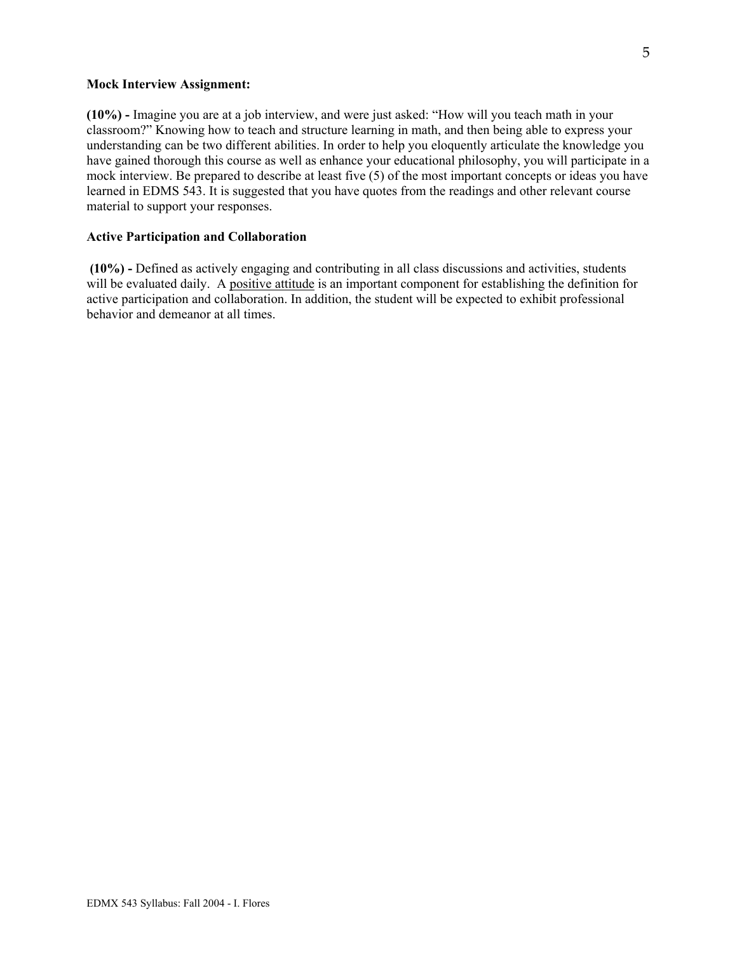#### **Mock Interview Assignment:**

**(10%) -** Imagine you are at a job interview, and were just asked: "How will you teach math in your classroom?" Knowing how to teach and structure learning in math, and then being able to express your understanding can be two different abilities. In order to help you eloquently articulate the knowledge you have gained thorough this course as well as enhance your educational philosophy, you will participate in a mock interview. Be prepared to describe at least five (5) of the most important concepts or ideas you have learned in EDMS 543. It is suggested that you have quotes from the readings and other relevant course material to support your responses.

#### **Active Participation and Collaboration**

 **(10%) -** Defined as actively engaging and contributing in all class discussions and activities, students will be evaluated daily. A positive attitude is an important component for establishing the definition for active participation and collaboration. In addition, the student will be expected to exhibit professional behavior and demeanor at all times.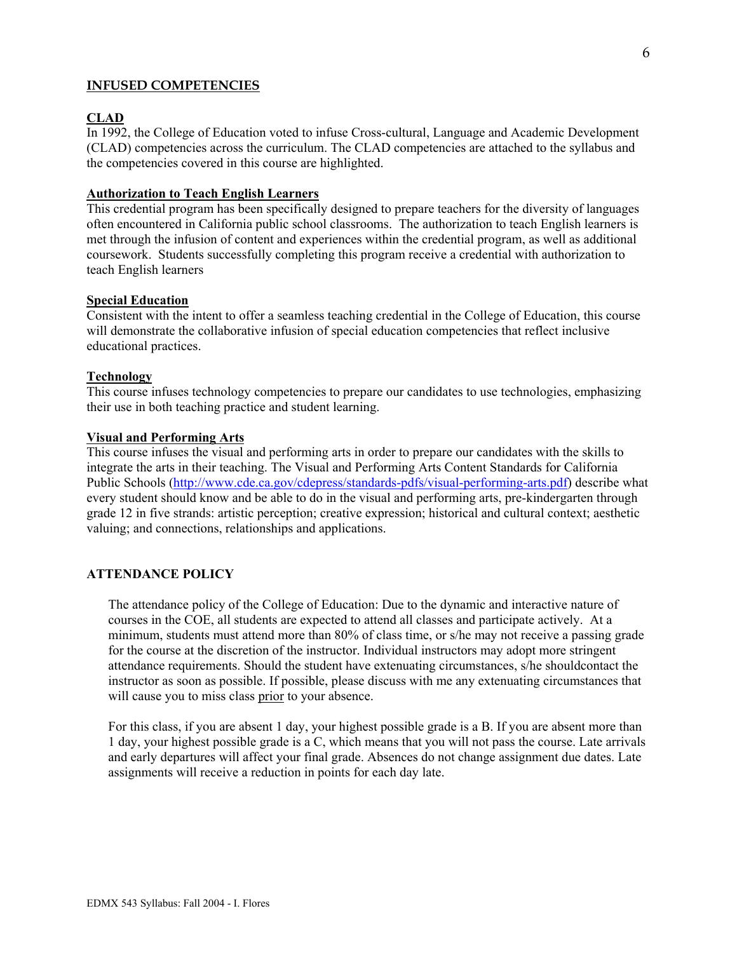### **INFUSED COMPETENCIES**

#### **CLAD**

In 1992, the College of Education voted to infuse Cross-cultural, Language and Academic Development (CLAD) competencies across the curriculum. The CLAD competencies are attached to the syllabus and the competencies covered in this course are highlighted.

### **Authorization to Teach English Learners**

This credential program has been specifically designed to prepare teachers for the diversity of languages often encountered in California public school classrooms. The authorization to teach English learners is met through the infusion of content and experiences within the credential program, as well as additional coursework. Students successfully completing this program receive a credential with authorization to teach English learners

#### **Special Education**

Consistent with the intent to offer a seamless teaching credential in the College of Education, this course will demonstrate the collaborative infusion of special education competencies that reflect inclusive educational practices.

#### **Technology**

This course infuses technology competencies to prepare our candidates to use technologies, emphasizing their use in both teaching practice and student learning.

#### **Visual and Performing Arts**

This course infuses the visual and performing arts in order to prepare our candidates with the skills to integrate the arts in their teaching. The Visual and Performing Arts Content Standards for California Public Schools (http://www.cde.ca.gov/cdepress/standards-pdfs/visual-performing-arts.pdf) describe what every student should know and be able to do in the visual and performing arts, pre-kindergarten through grade 12 in five strands: artistic perception; creative expression; historical and cultural context; aesthetic valuing; and connections, relationships and applications.

#### **ATTENDANCE POLICY**

The attendance policy of the College of Education: Due to the dynamic and interactive nature of courses in the COE, all students are expected to attend all classes and participate actively. At a minimum, students must attend more than 80% of class time, or s/he may not receive a passing grade for the course at the discretion of the instructor. Individual instructors may adopt more stringent attendance requirements. Should the student have extenuating circumstances, s/he shouldcontact the instructor as soon as possible. If possible, please discuss with me any extenuating circumstances that will cause you to miss class prior to your absence.

For this class, if you are absent 1 day, your highest possible grade is a B. If you are absent more than 1 day, your highest possible grade is a C, which means that you will not pass the course. Late arrivals and early departures will affect your final grade. Absences do not change assignment due dates. Late assignments will receive a reduction in points for each day late.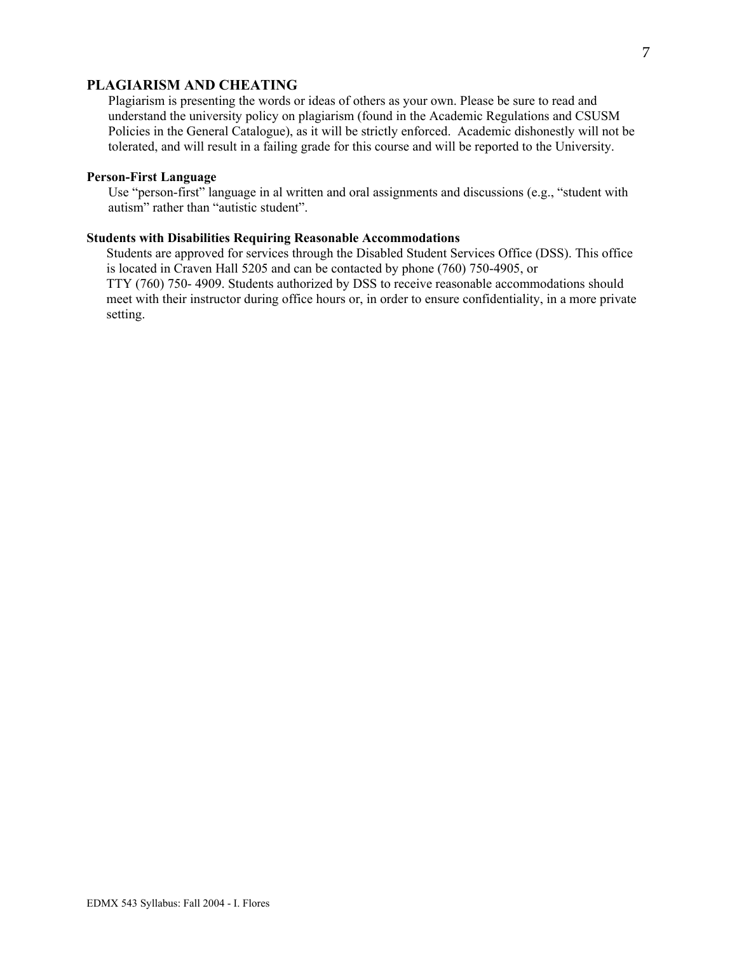### **PLAGIARISM AND CHEATING**

Plagiarism is presenting the words or ideas of others as your own. Please be sure to read and understand the university policy on plagiarism (found in the Academic Regulations and CSUSM Policies in the General Catalogue), as it will be strictly enforced. Academic dishonestly will not be tolerated, and will result in a failing grade for this course and will be reported to the University.

#### **Person-First Language**

 Use "person-first" language in al written and oral assignments and discussions (e.g., "student with autism" rather than "autistic student".

#### **Students with Disabilities Requiring Reasonable Accommodations**

 Students are approved for services through the Disabled Student Services Office (DSS). This office is located in Craven Hall 5205 and can be contacted by phone (760) 750-4905, or TTY (760) 750- 4909. Students authorized by DSS to receive reasonable accommodations should meet with their instructor during office hours or, in order to ensure confidentiality, in a more private setting.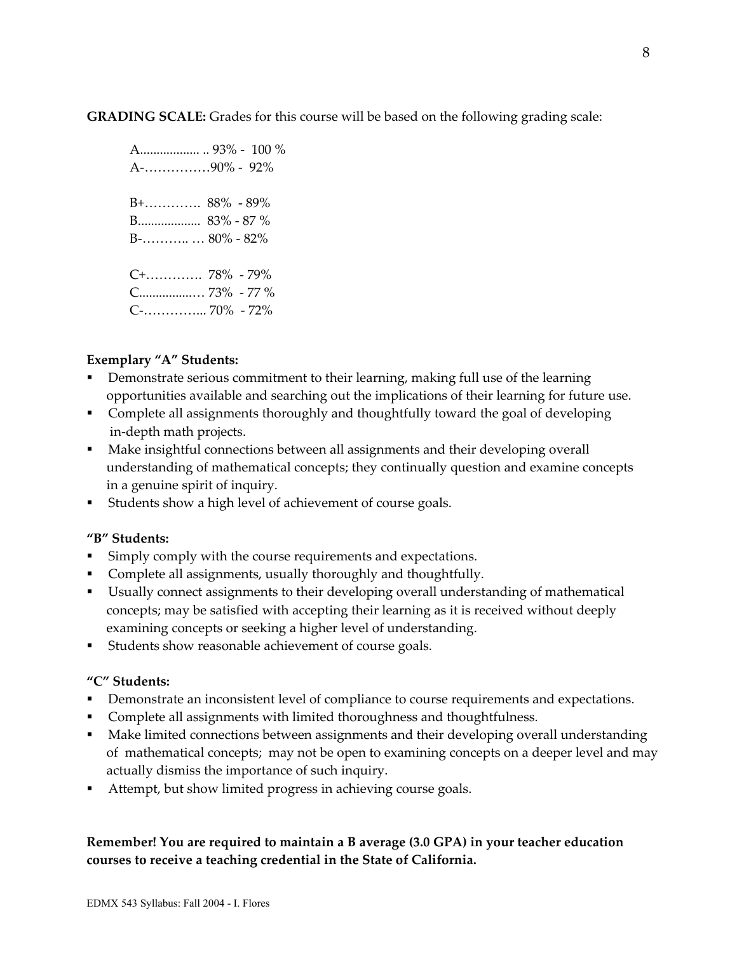**GRADING SCALE:** Grades for this course will be based on the following grading scale:

 A.................. .. 93% - 100 % A-……………90% - 92% B+…………. 88% - 89% B................... 83% - 87 % B-……….. … 80% - 82% C+…………. 78% - 79% C................… 73% - 77 % C-…………... 70% - 72%

# **Exemplary "A" Students:**

- Demonstrate serious commitment to their learning, making full use of the learning opportunities available and searching out the implications of their learning for future use.
- Complete all assignments thoroughly and thoughtfully toward the goal of developing in-depth math projects.
- **Make insightful connections between all assignments and their developing overall**  understanding of mathematical concepts; they continually question and examine concepts in a genuine spirit of inquiry.
- Students show a high level of achievement of course goals.

# **"B" Students:**

- Simply comply with the course requirements and expectations.
- Complete all assignments, usually thoroughly and thoughtfully.
- Usually connect assignments to their developing overall understanding of mathematical concepts; may be satisfied with accepting their learning as it is received without deeply examining concepts or seeking a higher level of understanding.
- Students show reasonable achievement of course goals.

# **"C" Students:**

- **•** Demonstrate an inconsistent level of compliance to course requirements and expectations.
- **Complete all assignments with limited thoroughness and thoughtfulness.**
- Make limited connections between assignments and their developing overall understanding of mathematical concepts; may not be open to examining concepts on a deeper level and may actually dismiss the importance of such inquiry.
- Attempt, but show limited progress in achieving course goals.

# **Remember! You are required to maintain a B average (3.0 GPA) in your teacher education courses to receive a teaching credential in the State of California.**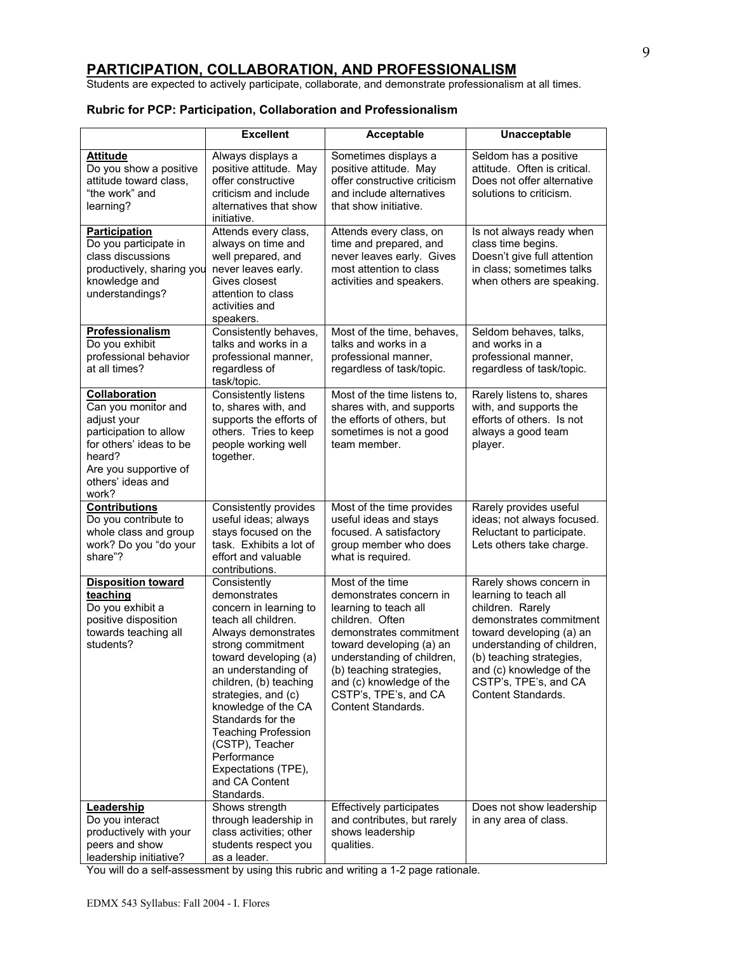### **PARTICIPATION, COLLABORATION, AND PROFESSIONALISM**

Students are expected to actively participate, collaborate, and demonstrate professionalism at all times.

### **Rubric for PCP: Participation, Collaboration and Professionalism**

|                                                                                                                                                                           | <b>Excellent</b>                                                                                                                                                                                                                                                                                                                                                                              | Acceptable                                                                                                                                                                                                                                                                          | Unacceptable                                                                                                                                                                                                                                                            |
|---------------------------------------------------------------------------------------------------------------------------------------------------------------------------|-----------------------------------------------------------------------------------------------------------------------------------------------------------------------------------------------------------------------------------------------------------------------------------------------------------------------------------------------------------------------------------------------|-------------------------------------------------------------------------------------------------------------------------------------------------------------------------------------------------------------------------------------------------------------------------------------|-------------------------------------------------------------------------------------------------------------------------------------------------------------------------------------------------------------------------------------------------------------------------|
| <b>Attitude</b><br>Do you show a positive<br>attitude toward class,<br>"the work" and<br>learning?                                                                        | Always displays a<br>positive attitude. May<br>offer constructive<br>criticism and include<br>alternatives that show<br>initiative.                                                                                                                                                                                                                                                           | Sometimes displays a<br>positive attitude. May<br>offer constructive criticism<br>and include alternatives<br>that show initiative.                                                                                                                                                 | Seldom has a positive<br>attitude. Often is critical.<br>Does not offer alternative<br>solutions to criticism.                                                                                                                                                          |
| Participation<br>Do you participate in<br>class discussions<br>productively, sharing you<br>knowledge and<br>understandings?                                              | Attends every class,<br>always on time and<br>well prepared, and<br>never leaves early.<br>Gives closest<br>attention to class<br>activities and<br>speakers.                                                                                                                                                                                                                                 | Attends every class, on<br>time and prepared, and<br>never leaves early. Gives<br>most attention to class<br>activities and speakers.                                                                                                                                               | Is not always ready when<br>class time begins.<br>Doesn't give full attention<br>in class; sometimes talks<br>when others are speaking.                                                                                                                                 |
| <b>Professionalism</b><br>Do you exhibit<br>professional behavior<br>at all times?                                                                                        | Consistently behaves,<br>talks and works in a<br>professional manner,<br>regardless of<br>task/topic.                                                                                                                                                                                                                                                                                         | Most of the time, behaves,<br>talks and works in a<br>professional manner,<br>regardless of task/topic.                                                                                                                                                                             | Seldom behaves, talks,<br>and works in a<br>professional manner,<br>regardless of task/topic.                                                                                                                                                                           |
| Collaboration<br>Can you monitor and<br>adjust your<br>participation to allow<br>for others' ideas to be<br>heard?<br>Are you supportive of<br>others' ideas and<br>work? | Consistently listens<br>to, shares with, and<br>supports the efforts of<br>others. Tries to keep<br>people working well<br>together.                                                                                                                                                                                                                                                          | Most of the time listens to,<br>shares with, and supports<br>the efforts of others, but<br>sometimes is not a good<br>team member.                                                                                                                                                  | Rarely listens to, shares<br>with, and supports the<br>efforts of others. Is not<br>always a good team<br>player.                                                                                                                                                       |
| <b>Contributions</b><br>Do you contribute to<br>whole class and group<br>work? Do you "do your<br>share"?                                                                 | Consistently provides<br>useful ideas; always<br>stays focused on the<br>task. Exhibits a lot of<br>effort and valuable<br>contributions.                                                                                                                                                                                                                                                     | Most of the time provides<br>useful ideas and stays<br>focused. A satisfactory<br>group member who does<br>what is required.                                                                                                                                                        | Rarely provides useful<br>ideas; not always focused.<br>Reluctant to participate.<br>Lets others take charge.                                                                                                                                                           |
| <b>Disposition toward</b><br>teaching<br>Do you exhibit a<br>positive disposition<br>towards teaching all<br>students?                                                    | Consistently<br>demonstrates<br>concern in learning to<br>teach all children.<br>Always demonstrates<br>strong commitment<br>toward developing (a)<br>an understanding of<br>children, (b) teaching<br>strategies, and (c)<br>knowledge of the CA<br>Standards for the<br><b>Teaching Profession</b><br>(CSTP), Teacher<br>Performance<br>Expectations (TPE),<br>and CA Content<br>Standards. | Most of the time<br>demonstrates concern in<br>learning to teach all<br>children. Often<br>demonstrates commitment<br>toward developing (a) an<br>understanding of children,<br>(b) teaching strategies,<br>and (c) knowledge of the<br>CSTP's, TPE's, and CA<br>Content Standards. | Rarely shows concern in<br>learning to teach all<br>children. Rarely<br>demonstrates commitment<br>toward developing (a) an<br>understanding of children,<br>(b) teaching strategies,<br>and (c) knowledge of the<br>CSTP's, TPE's, and CA<br><b>Content Standards.</b> |
| Leadership<br>Do you interact<br>productively with your<br>peers and show<br>leadership initiative?                                                                       | Shows strength<br>through leadership in<br>class activities; other<br>students respect you<br>as a leader.                                                                                                                                                                                                                                                                                    | Effectively participates<br>and contributes, but rarely<br>shows leadership<br>qualities.                                                                                                                                                                                           | Does not show leadership<br>in any area of class.                                                                                                                                                                                                                       |

You will do a self-assessment by using this rubric and writing a 1-2 page rationale.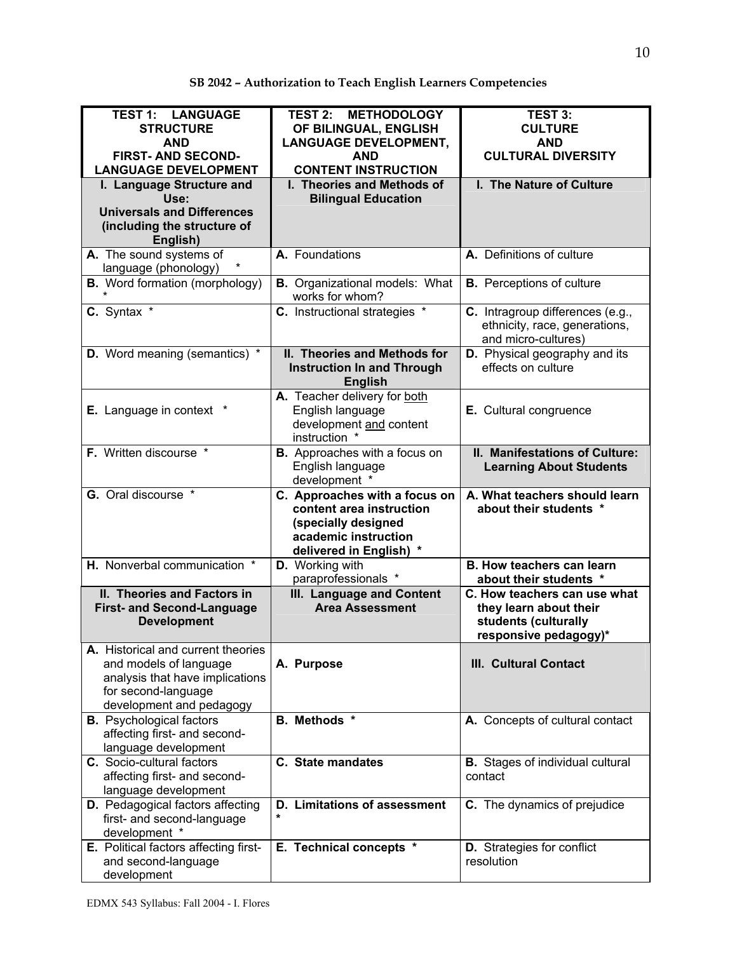| <b>TEST 1: LANGUAGE</b><br><b>STRUCTURE</b><br><b>AND</b><br><b>FIRST-AND SECOND-</b><br><b>LANGUAGE DEVELOPMENT</b>                               | <b>TEST 2: METHODOLOGY</b><br>OF BILINGUAL, ENGLISH<br><b>LANGUAGE DEVELOPMENT,</b><br><b>AND</b><br><b>CONTENT INSTRUCTION</b>   | <b>TEST 3:</b><br><b>CULTURE</b><br><b>AND</b><br><b>CULTURAL DIVERSITY</b>                             |
|----------------------------------------------------------------------------------------------------------------------------------------------------|-----------------------------------------------------------------------------------------------------------------------------------|---------------------------------------------------------------------------------------------------------|
| I. Language Structure and<br>Use:<br><b>Universals and Differences</b><br>(including the structure of<br>English)                                  | I. Theories and Methods of<br><b>Bilingual Education</b>                                                                          | I. The Nature of Culture                                                                                |
| A. The sound systems of<br>language (phonology)                                                                                                    | A. Foundations                                                                                                                    | A. Definitions of culture                                                                               |
| <b>B.</b> Word formation (morphology)                                                                                                              | <b>B.</b> Organizational models: What<br>works for whom?                                                                          | <b>B.</b> Perceptions of culture                                                                        |
| C. Syntax *                                                                                                                                        | C. Instructional strategies *                                                                                                     | C. Intragroup differences (e.g.,<br>ethnicity, race, generations,<br>and micro-cultures)                |
| <b>D.</b> Word meaning (semantics) *                                                                                                               | II. Theories and Methods for<br><b>Instruction In and Through</b><br><b>English</b>                                               | D. Physical geography and its<br>effects on culture                                                     |
| <b>E.</b> Language in context                                                                                                                      | A. Teacher delivery for both<br>English language<br>development and content<br>instruction *                                      | E. Cultural congruence                                                                                  |
| F. Written discourse *                                                                                                                             | <b>B.</b> Approaches with a focus on<br>English language<br>development *                                                         | II. Manifestations of Culture:<br><b>Learning About Students</b>                                        |
| <b>G.</b> Oral discourse *                                                                                                                         | C. Approaches with a focus on<br>content area instruction<br>(specially designed<br>academic instruction<br>delivered in English) | A. What teachers should learn<br>about their students *                                                 |
| H. Nonverbal communication *                                                                                                                       | D. Working with<br>paraprofessionals *                                                                                            | <b>B. How teachers can learn</b><br>about their students *                                              |
| II. Theories and Factors in<br><b>First- and Second-Language</b><br><b>Development</b>                                                             | III. Language and Content<br><b>Area Assessment</b>                                                                               | C. How teachers can use what<br>they learn about their<br>students (culturally<br>responsive pedagogy)* |
| A. Historical and current theories<br>and models of language<br>analysis that have implications<br>for second-language<br>development and pedagogy | A. Purpose                                                                                                                        | <b>III. Cultural Contact</b>                                                                            |
| <b>B.</b> Psychological factors<br>affecting first- and second-<br>language development                                                            | B. Methods *                                                                                                                      | A. Concepts of cultural contact                                                                         |
| C. Socio-cultural factors<br>affecting first- and second-<br>language development                                                                  | <b>C.</b> State mandates                                                                                                          | <b>B.</b> Stages of individual cultural<br>contact                                                      |
| D. Pedagogical factors affecting<br>first- and second-language<br>development *                                                                    | D. Limitations of assessment<br>$\star$                                                                                           | <b>C.</b> The dynamics of prejudice                                                                     |
| E. Political factors affecting first-<br>and second-language<br>development                                                                        | E. Technical concepts *                                                                                                           | <b>D.</b> Strategies for conflict<br>resolution                                                         |

# **SB 2042 – Authorization to Teach English Learners Competencies**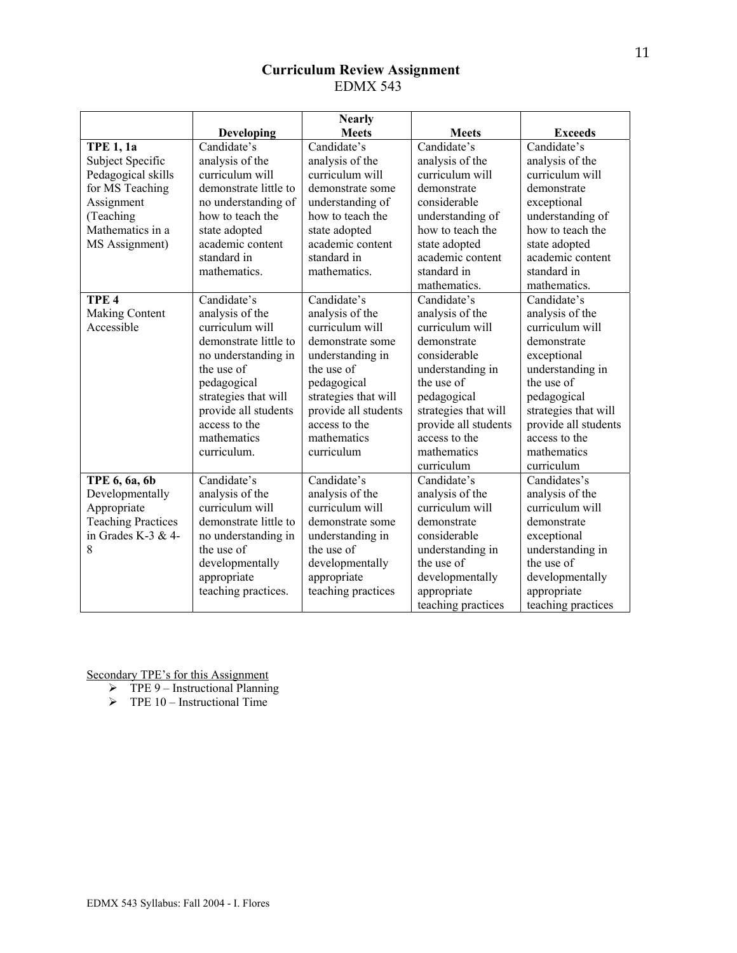# **Curriculum Review Assignment**  EDMX 543

|                           |                       | <b>Nearly</b>        |                      |                      |
|---------------------------|-----------------------|----------------------|----------------------|----------------------|
|                           | Developing            | <b>Meets</b>         | <b>Meets</b>         | <b>Exceeds</b>       |
| <b>TPE 1, 1a</b>          | Candidate's           | Candidate's          | Candidate's          | Candidate's          |
| Subject Specific          | analysis of the       | analysis of the      | analysis of the      | analysis of the      |
| Pedagogical skills        | curriculum will       | curriculum will      | curriculum will      | curriculum will      |
| for MS Teaching           | demonstrate little to | demonstrate some     | demonstrate          | demonstrate          |
| Assignment                | no understanding of   | understanding of     | considerable         | exceptional          |
| (Teaching                 | how to teach the      | how to teach the     | understanding of     | understanding of     |
| Mathematics in a          | state adopted         | state adopted        | how to teach the     | how to teach the     |
| MS Assignment)            | academic content      | academic content     | state adopted        | state adopted        |
|                           | standard in           | standard in          | academic content     | academic content     |
|                           | mathematics.          | mathematics.         | standard in          | standard in          |
|                           |                       |                      | mathematics.         | mathematics.         |
| TPE <sub>4</sub>          | Candidate's           | Candidate's          | Candidate's          | Candidate's          |
| <b>Making Content</b>     | analysis of the       | analysis of the      | analysis of the      | analysis of the      |
| Accessible                | curriculum will       | curriculum will      | curriculum will      | curriculum will      |
|                           | demonstrate little to | demonstrate some     | demonstrate          | demonstrate          |
|                           | no understanding in   | understanding in     | considerable         | exceptional          |
|                           | the use of            | the use of           | understanding in     | understanding in     |
|                           | pedagogical           | pedagogical          | the use of           | the use of           |
|                           | strategies that will  | strategies that will | pedagogical          | pedagogical          |
|                           | provide all students  | provide all students | strategies that will | strategies that will |
|                           | access to the         | access to the        | provide all students | provide all students |
|                           | mathematics           | mathematics          | access to the        | access to the        |
|                           | curriculum.           | curriculum           | mathematics          | mathematics          |
|                           |                       |                      | curriculum           | curriculum           |
| TPE 6, 6a, 6b             | Candidate's           | Candidate's          | Candidate's          | Candidates's         |
| Developmentally           | analysis of the       | analysis of the      | analysis of the      | analysis of the      |
| Appropriate               | curriculum will       | curriculum will      | curriculum will      | curriculum will      |
| <b>Teaching Practices</b> | demonstrate little to | demonstrate some     | demonstrate          | demonstrate          |
| in Grades K-3 & 4-        | no understanding in   | understanding in     | considerable         | exceptional          |
| 8                         | the use of            | the use of           | understanding in     | understanding in     |
|                           | developmentally       | developmentally      | the use of           | the use of           |
|                           | appropriate           | appropriate          | developmentally      | developmentally      |
|                           | teaching practices.   | teaching practices   | appropriate          | appropriate          |
|                           |                       |                      | teaching practices   | teaching practices   |

Secondary TPE's for this Assignment

- $\triangleright$  TPE 9 Instructional Planning
- $\triangleright$  TPE 10 Instructional Time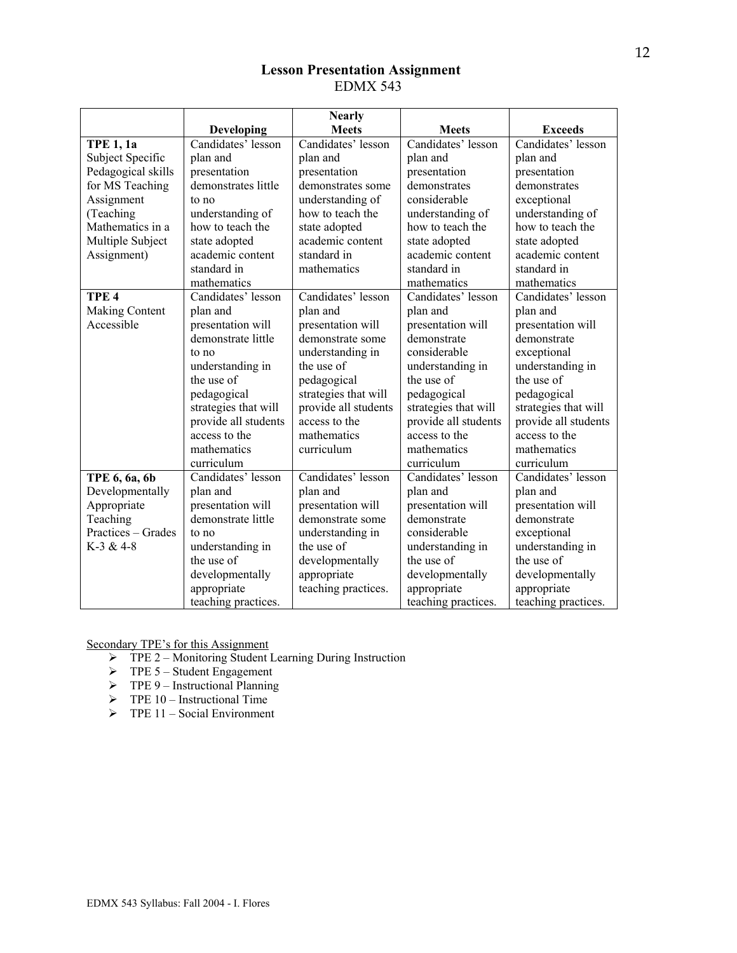# **Lesson Presentation Assignment**  EDMX 543

|                       |                      | <b>Nearly</b>        |                      |                      |
|-----------------------|----------------------|----------------------|----------------------|----------------------|
|                       | Developing           | <b>Meets</b>         | <b>Meets</b>         | <b>Exceeds</b>       |
| <b>TPE 1, 1a</b>      | Candidates' lesson   | Candidates' lesson   | Candidates' lesson   | Candidates' lesson   |
| Subject Specific      | plan and             | plan and             | plan and             | plan and             |
| Pedagogical skills    | presentation         | presentation         | presentation         | presentation         |
| for MS Teaching       | demonstrates little  | demonstrates some    | demonstrates         | demonstrates         |
| Assignment            | to no                | understanding of     | considerable         | exceptional          |
| (Teaching             | understanding of     | how to teach the     | understanding of     | understanding of     |
| Mathematics in a      | how to teach the     | state adopted        | how to teach the     | how to teach the     |
| Multiple Subject      | state adopted        | academic content     | state adopted        | state adopted        |
| Assignment)           | academic content     | standard in          | academic content     | academic content     |
|                       | standard in          | mathematics          | standard in          | standard in          |
|                       | mathematics          |                      | mathematics          | mathematics          |
| TPE <sub>4</sub>      | Candidates' lesson   | Candidates' lesson   | Candidates' lesson   | Candidates' lesson   |
| <b>Making Content</b> | plan and             | plan and             | plan and             | plan and             |
| Accessible            | presentation will    | presentation will    | presentation will    | presentation will    |
|                       | demonstrate little   | demonstrate some     | demonstrate          | demonstrate          |
|                       | to no                | understanding in     | considerable         | exceptional          |
|                       | understanding in     | the use of           | understanding in     | understanding in     |
|                       | the use of           | pedagogical          | the use of           | the use of           |
|                       | pedagogical          | strategies that will | pedagogical          | pedagogical          |
|                       | strategies that will | provide all students | strategies that will | strategies that will |
|                       | provide all students | access to the        | provide all students | provide all students |
|                       | access to the        | mathematics          | access to the        | access to the        |
|                       | mathematics          | curriculum           | mathematics          | mathematics          |
|                       | curriculum           |                      | curriculum           | curriculum           |
| TPE 6, 6a, 6b         | Candidates' lesson   | Candidates' lesson   | Candidates' lesson   | Candidates' lesson   |
| Developmentally       | plan and             | plan and             | plan and             | plan and             |
| Appropriate           | presentation will    | presentation will    | presentation will    | presentation will    |
| Teaching              | demonstrate little   | demonstrate some     | demonstrate          | demonstrate          |
| Practices - Grades    | to no                | understanding in     | considerable         | exceptional          |
| $K-3 & 4-8$           | understanding in     | the use of           | understanding in     | understanding in     |
|                       | the use of           | developmentally      | the use of           | the use of           |
|                       | developmentally      | appropriate          | developmentally      | developmentally      |
|                       | appropriate          | teaching practices.  | appropriate          | appropriate          |
|                       | teaching practices.  |                      | teaching practices.  | teaching practices.  |

Secondary TPE's for this Assignment

- ¾ TPE 2 Monitoring Student Learning During Instruction
- $\triangleright$  TPE 5 Student Engagement
- $\triangleright$  TPE 9 Instructional Planning
- $\triangleright$  TPE 10 Instructional Time
- $\triangleright$  TPE 11 Social Environment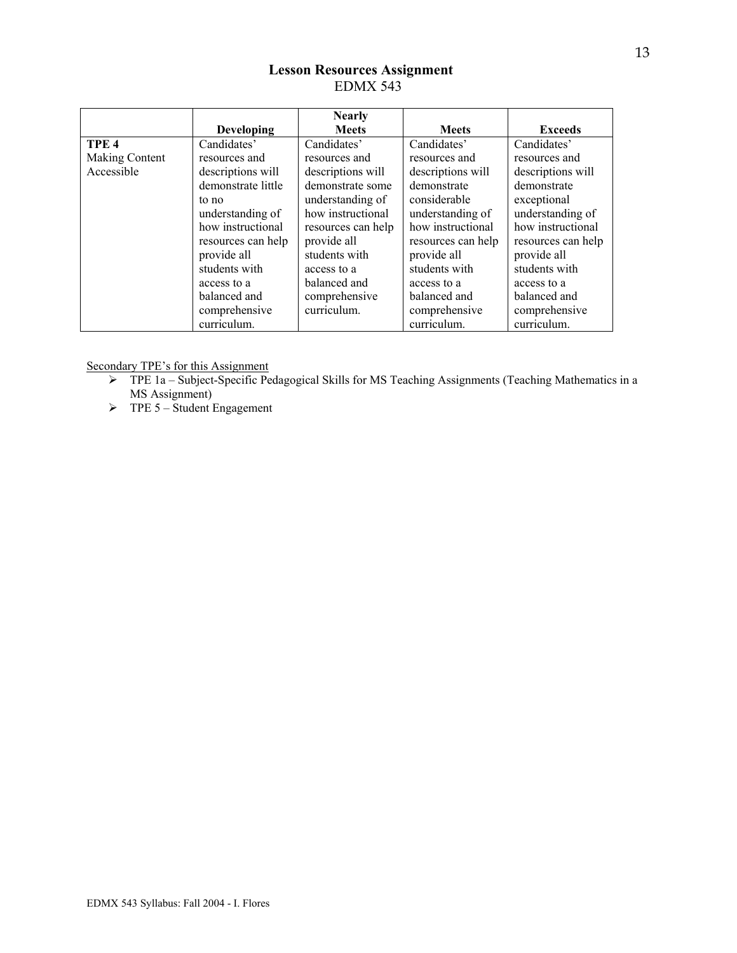# **Lesson Resources Assignment**  EDMX 543

|                  |                    | <b>Nearly</b>      |                    |                    |
|------------------|--------------------|--------------------|--------------------|--------------------|
|                  | <b>Developing</b>  | <b>Meets</b>       | <b>Meets</b>       | <b>Exceeds</b>     |
| TPE <sub>4</sub> | Candidates'        | Candidates'        | Candidates'        | Candidates'        |
| Making Content   | resources and      | resources and      | resources and      | resources and      |
| Accessible       | descriptions will  | descriptions will  | descriptions will  | descriptions will  |
|                  | demonstrate little | demonstrate some   | demonstrate        | demonstrate        |
|                  | to no              | understanding of   | considerable       | exceptional        |
|                  | understanding of   | how instructional  | understanding of   | understanding of   |
|                  | how instructional  | resources can help | how instructional  | how instructional  |
|                  | resources can help | provide all        | resources can help | resources can help |
|                  | provide all        | students with      | provide all        | provide all        |
|                  | students with      | access to a        | students with      | students with      |
|                  | access to a        | balanced and       | access to a        | access to a        |
|                  | balanced and       | comprehensive      | balanced and       | balanced and       |
|                  | comprehensive      | curriculum.        | comprehensive      | comprehensive      |
|                  | curriculum.        |                    | curriculum.        | curriculum.        |

Secondary TPE's for this Assignment

- ¾ TPE 1a Subject-Specific Pedagogical Skills for MS Teaching Assignments (Teaching Mathematics in a MS Assignment)
- $\triangleright$  TPE 5 Student Engagement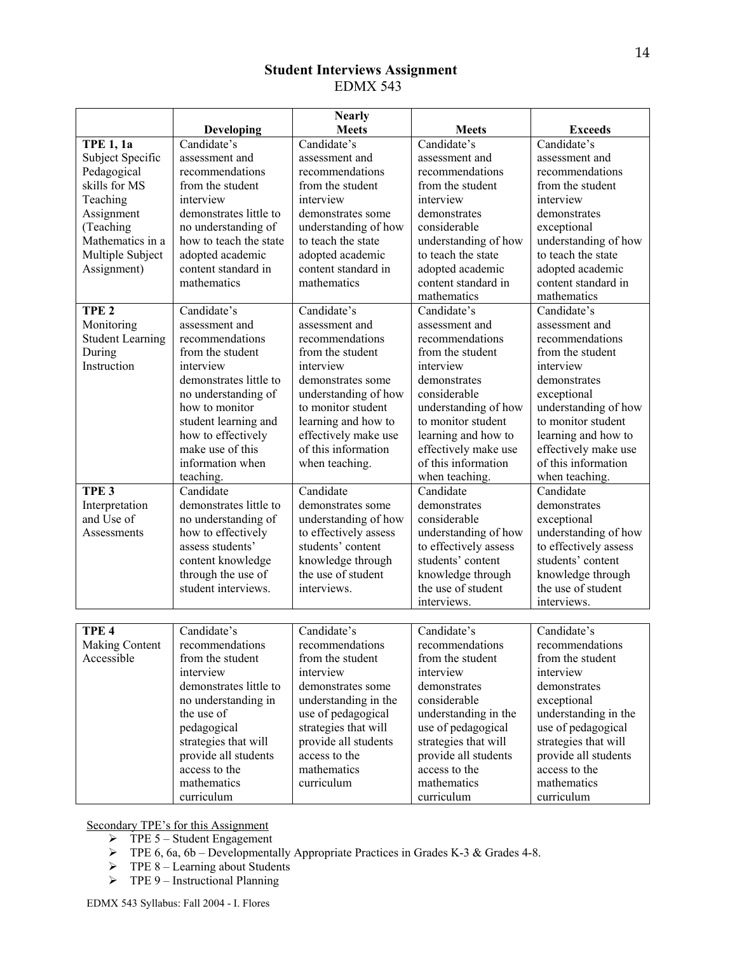# **Student Interviews Assignment**  EDMX 543

|                         |                        | <b>Nearly</b>         |                       |                       |
|-------------------------|------------------------|-----------------------|-----------------------|-----------------------|
|                         | <b>Developing</b>      | <b>Meets</b>          | <b>Meets</b>          | <b>Exceeds</b>        |
| <b>TPE 1, 1a</b>        | Candidate's            | Candidate's           | Candidate's           | Candidate's           |
| Subject Specific        | assessment and         | assessment and        | assessment and        | assessment and        |
| Pedagogical             | recommendations        | recommendations       | recommendations       | recommendations       |
| skills for MS           | from the student       | from the student      | from the student      | from the student      |
| Teaching                | interview              | interview             | interview             | interview             |
| Assignment              | demonstrates little to | demonstrates some     | demonstrates          | demonstrates          |
| (Teaching               | no understanding of    | understanding of how  | considerable          | exceptional           |
| Mathematics in a        | how to teach the state | to teach the state    | understanding of how  | understanding of how  |
| Multiple Subject        | adopted academic       | adopted academic      | to teach the state    | to teach the state    |
| Assignment)             | content standard in    | content standard in   | adopted academic      | adopted academic      |
|                         | mathematics            | mathematics           | content standard in   | content standard in   |
|                         |                        |                       | mathematics           | mathematics           |
| TPE <sub>2</sub>        | Candidate's            | Candidate's           | Candidate's           | Candidate's           |
| Monitoring              | assessment and         | assessment and        | assessment and        | assessment and        |
| <b>Student Learning</b> | recommendations        | recommendations       | recommendations       | recommendations       |
| During                  | from the student       | from the student      | from the student      | from the student      |
| Instruction             | interview              | interview             | interview             | interview             |
|                         | demonstrates little to | demonstrates some     | demonstrates          | demonstrates          |
|                         | no understanding of    | understanding of how  | considerable          | exceptional           |
|                         | how to monitor         | to monitor student    | understanding of how  | understanding of how  |
|                         | student learning and   | learning and how to   | to monitor student    | to monitor student    |
|                         | how to effectively     | effectively make use  | learning and how to   | learning and how to   |
|                         | make use of this       | of this information   | effectively make use  | effectively make use  |
|                         | information when       | when teaching.        | of this information   | of this information   |
|                         | teaching.              |                       | when teaching.        | when teaching.        |
| TPE <sub>3</sub>        | Candidate              | Candidate             | Candidate             | Candidate             |
| Interpretation          | demonstrates little to | demonstrates some     | demonstrates          | demonstrates          |
| and Use of              | no understanding of    | understanding of how  | considerable          | exceptional           |
| Assessments             | how to effectively     | to effectively assess | understanding of how  | understanding of how  |
|                         | assess students'       | students' content     | to effectively assess | to effectively assess |
|                         | content knowledge      | knowledge through     | students' content     | students' content     |
|                         | through the use of     | the use of student    | knowledge through     | knowledge through     |
|                         | student interviews.    | interviews.           | the use of student    | the use of student    |
|                         |                        |                       | interviews.           | interviews.           |
|                         |                        |                       |                       |                       |
| TPE <sub>4</sub>        | Candidate's            | Candidate's           | Candidate's           | Candidate's           |
| Making Content          | recommendations        | recommendations       | recommendations       | recommendations       |
| Accessible              | from the student       | from the student      | from the student      | from the student      |
|                         | interview              | interview             | interview             | interview             |
|                         | demonstrates little to | demonstrates some     | demonstrates          | demonstrates          |
|                         | no understanding in    | understanding in the  | considerable          | exceptional           |
|                         | the use of             | use of pedagogical    | understanding in the  | understanding in the  |
|                         | pedagogical            | strategies that will  | use of pedagogical    | use of pedagogical    |
|                         | strategies that will   | provide all students  | strategies that will  | strategies that will  |
|                         | provide all students   | access to the         | provide all students  | provide all students  |
|                         | access to the          | mathematics           | access to the         | access to the         |
|                         | mathematics            | curriculum            | mathematics           | mathematics           |
|                         | curriculum             |                       | curriculum            | curriculum            |

Secondary TPE's for this Assignment

- $\triangleright$  TPE 5 Student Engagement
- $\triangleright$  TPE 6, 6a, 6b Developmentally Appropriate Practices in Grades K-3 & Grades 4-8.
- $\triangleright$  TPE 8 Learning about Students
- $\triangleright$  TPE 9 Instructional Planning

14